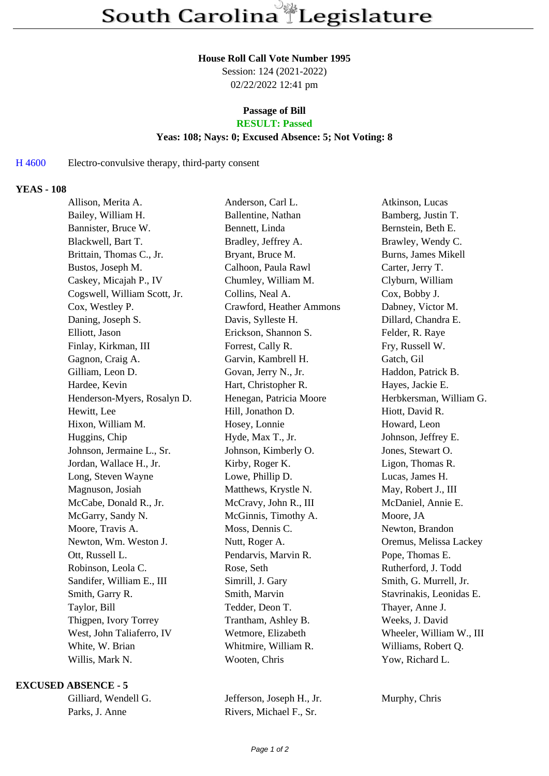#### **House Roll Call Vote Number 1995**

Session: 124 (2021-2022) 02/22/2022 12:41 pm

# **Passage of Bill**

## **RESULT: Passed**

#### **Yeas: 108; Nays: 0; Excused Absence: 5; Not Voting: 8**

#### H 4600 Electro-convulsive therapy, third-party consent

### **YEAS - 108**

| Allison, Merita A.           | Anderson, Carl L.        | Atkinson, Lucas          |
|------------------------------|--------------------------|--------------------------|
| Bailey, William H.           | Ballentine, Nathan       | Bamberg, Justin T.       |
| Bannister, Bruce W.          | Bennett, Linda           | Bernstein, Beth E.       |
| Blackwell, Bart T.           | Bradley, Jeffrey A.      | Brawley, Wendy C.        |
| Brittain, Thomas C., Jr.     | Bryant, Bruce M.         | Burns, James Mikell      |
| Bustos, Joseph M.            | Calhoon, Paula Rawl      | Carter, Jerry T.         |
| Caskey, Micajah P., IV       | Chumley, William M.      | Clyburn, William         |
| Cogswell, William Scott, Jr. | Collins, Neal A.         | Cox, Bobby J.            |
| Cox, Westley P.              | Crawford, Heather Ammons | Dabney, Victor M.        |
| Daning, Joseph S.            | Davis, Sylleste H.       | Dillard, Chandra E.      |
| Elliott, Jason               | Erickson, Shannon S.     | Felder, R. Raye          |
| Finlay, Kirkman, III         | Forrest, Cally R.        | Fry, Russell W.          |
| Gagnon, Craig A.             | Garvin, Kambrell H.      | Gatch, Gil               |
| Gilliam, Leon D.             | Govan, Jerry N., Jr.     | Haddon, Patrick B.       |
| Hardee, Kevin                | Hart, Christopher R.     | Hayes, Jackie E.         |
| Henderson-Myers, Rosalyn D.  | Henegan, Patricia Moore  | Herbkersman, William G.  |
| Hewitt, Lee                  | Hill, Jonathon D.        | Hiott, David R.          |
| Hixon, William M.            | Hosey, Lonnie            | Howard, Leon             |
| Huggins, Chip                | Hyde, Max T., Jr.        | Johnson, Jeffrey E.      |
| Johnson, Jermaine L., Sr.    | Johnson, Kimberly O.     | Jones, Stewart O.        |
| Jordan, Wallace H., Jr.      | Kirby, Roger K.          | Ligon, Thomas R.         |
| Long, Steven Wayne           | Lowe, Phillip D.         | Lucas, James H.          |
| Magnuson, Josiah             | Matthews, Krystle N.     | May, Robert J., III      |
| McCabe, Donald R., Jr.       | McCravy, John R., III    | McDaniel, Annie E.       |
| McGarry, Sandy N.            | McGinnis, Timothy A.     | Moore, JA                |
| Moore, Travis A.             | Moss, Dennis C.          | Newton, Brandon          |
| Newton, Wm. Weston J.        | Nutt, Roger A.           | Oremus, Melissa Lackey   |
| Ott, Russell L.              | Pendarvis, Marvin R.     | Pope, Thomas E.          |
| Robinson, Leola C.           | Rose, Seth               | Rutherford, J. Todd      |
| Sandifer, William E., III    | Simrill, J. Gary         | Smith, G. Murrell, Jr.   |
| Smith, Garry R.              | Smith, Marvin            | Stavrinakis, Leonidas E. |
| Taylor, Bill                 | Tedder, Deon T.          | Thayer, Anne J.          |
| Thigpen, Ivory Torrey        | Trantham, Ashley B.      | Weeks, J. David          |
| West, John Taliaferro, IV    | Wetmore, Elizabeth       | Wheeler, William W., III |
| White, W. Brian              | Whitmire, William R.     | Williams, Robert Q.      |
| Willis, Mark N.              | Wooten, Chris            | Yow, Richard L.          |
|                              |                          |                          |

#### **EXCUSED ABSENCE - 5**

|                | Gilliard, Wendell G. |
|----------------|----------------------|
| Parks, J. Anne |                      |

Jefferson, Joseph H., Jr. Murphy, Chris Rivers, Michael F., Sr.